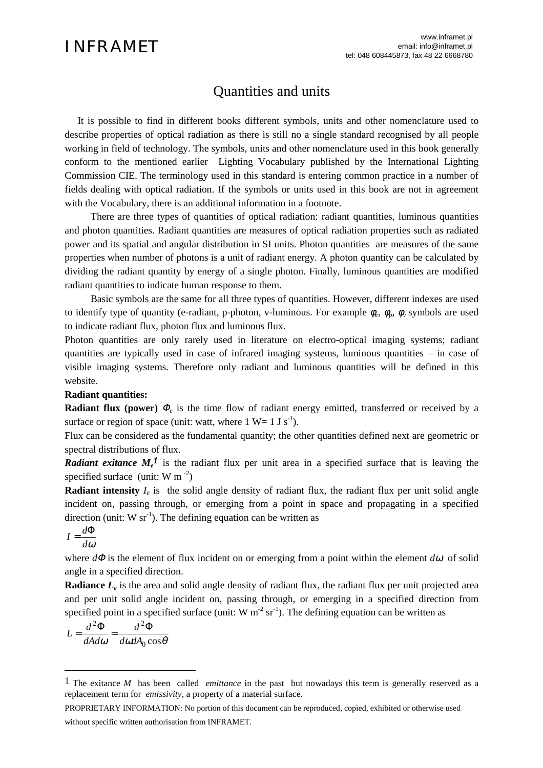# Quantities and units

It is possible to find in different books different symbols, units and other nomenclature used to describe properties of optical radiation as there is still no a single standard recognised by all people working in field of technology. The symbols, units and other nomenclature used in this book generally conform to the mentioned earlier Lighting Vocabulary published by the International Lighting Commission CIE. The terminology used in this standard is entering common practice in a number of fields dealing with optical radiation. If the symbols or units used in this book are not in agreement with the Vocabulary, there is an additional information in a footnote.

There are three types of quantities of optical radiation: radiant quantities, luminous quantities and photon quantities. Radiant quantities are measures of optical radiation properties such as radiated power and its spatial and angular distribution in SI units. Photon quantities are measures of the same properties when number of photons is a unit of radiant energy. A photon quantity can be calculated by dividing the radiant quantity by energy of a single photon. Finally, luminous quantities are modified radiant quantities to indicate human response to them.

Basic symbols are the same for all three types of quantities. However, different indexes are used to identify type of quantity (e-radiant, p-photon, v-luminous. For example  $\phi_e$ ,  $\phi_p$ ,  $\phi_v$  symbols are used to indicate radiant flux, photon flux and luminous flux.

Photon quantities are only rarely used in literature on electro-optical imaging systems; radiant quantities are typically used in case of infrared imaging systems, luminous quantities – in case of visible imaging systems. Therefore only radiant and luminous quantities will be defined in this website.

## **Radiant quantities:**

**Radiant flux (power)** <sup>Φ</sup>*<sup>e</sup>* is the time flow of radiant energy emitted, transferred or received by a surface or region of space (unit: watt, where  $1 W = 1 J s^{-1}$ ).

Flux can be considered as the fundamental quantity; the other quantities defined next are geometric or spectral distributions of flux.

*Radiant exitance*  $M_e^{\dagger}$  is the radiant flux per unit area in a specified surface that is leaving the specified surface (unit: W m $^{-2}$ )

**Radiant intensity**  $I_e$  is the solid angle density of radiant flux, the radiant flux per unit solid angle incident on, passing through, or emerging from a point in space and propagating in a specified direction (unit:  $W$  sr<sup>-1</sup>). The defining equation can be written as

$$
I = \frac{d\Phi}{d\omega}
$$

 $\overline{a}$ 

where *d*<sup>Φ</sup> is the element of flux incident on or emerging from a point within the element *d*ω of solid angle in a specified direction.

**Radiance**  $L_e$  is the area and solid angle density of radiant flux, the radiant flux per unit projected area and per unit solid angle incident on, passing through, or emerging in a specified direction from specified point in a specified surface (unit: W  $m^{-2}$  sr<sup>-1</sup>). The defining equation can be written as

$$
L = \frac{d^2 \Phi}{dA d\omega} = \frac{d^2 \Phi}{d\omega dA_0 \cos\theta}
$$

<sup>1</sup> The exitance *M* has been called *emittance* in the past but nowadays this term is generally reserved as a replacement term for *emissivity,* a property of a material surface*.*

PROPRIETARY INFORMATION: No portion of this document can be reproduced, copied, exhibited or otherwise used without specific written authorisation from INFRAMET.